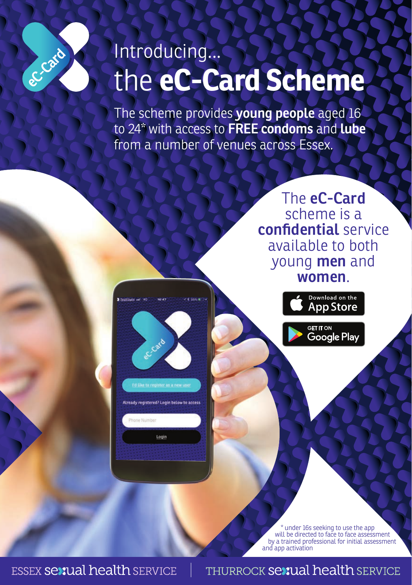## the **eC-Card Scheme** Introducing...

The scheme provides **young people** aged 16 to 24\* with access to **FREE condoms** and **lube** from a number of venues across Essex.

> The **eC-Card**  scheme is a **confidential** service available to both young **men** and **women**.



\* under 16s seeking to use the app will be directed to face to face assessment by a trained professional for initial assessment and app activation

**ESSEX Sexual health SERVICE** 

Card

I'd like to register as a new use Already registered? Login below to access

Login

eccard

## **THURROCK Sexual health SERVICE**